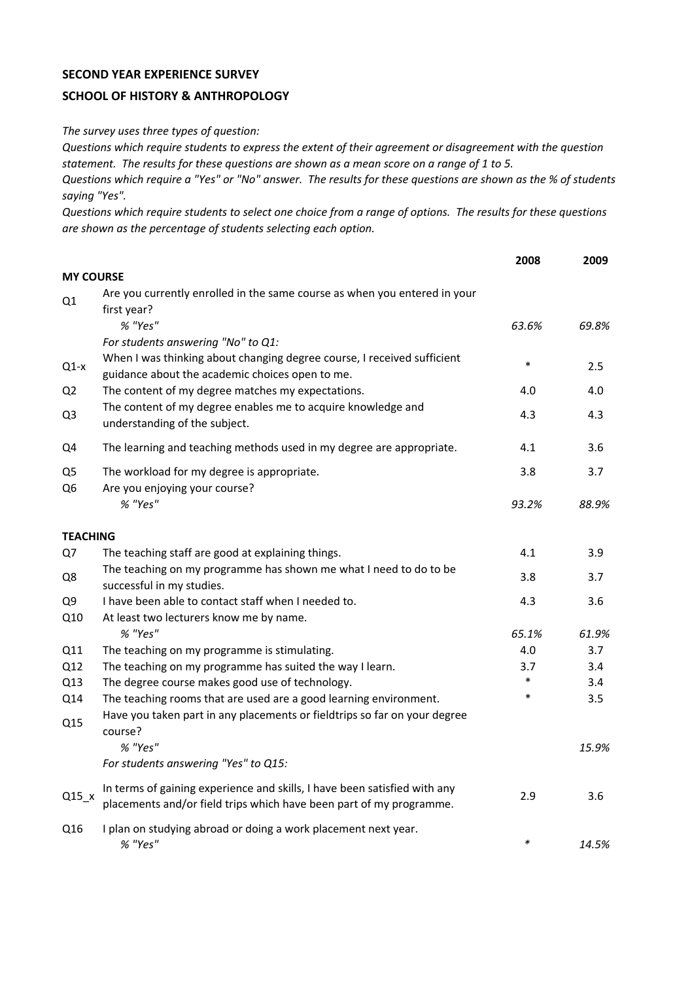## **SECOND YEAR EXPERIENCE SURVEY**

## **SCHOOL OF HISTORY & ANTHROPOLOGY**

*The survey uses three types of question:*

*Questions which require students to express the extent of their agreement or disagreement with the question statement. The results for these questions are shown as a mean score on a range of 1 to 5.*

*Questions which require a "Yes" or "No" answer. The results for these questions are shown as the % of students saying "Yes".*

*Questions which require students to select one choice from a range of options. The results for these questions are shown as the percentage of students selecting each option.*

|                                  |                                                                                                                                                                  | 2008   | 2009  |
|----------------------------------|------------------------------------------------------------------------------------------------------------------------------------------------------------------|--------|-------|
| <b>MY COURSE</b>                 |                                                                                                                                                                  |        |       |
| Q1                               | Are you currently enrolled in the same course as when you entered in your<br>first year?                                                                         |        |       |
|                                  | % "Yes"                                                                                                                                                          | 63.6%  | 69.8% |
| $Q1-x$                           | For students answering "No" to Q1:<br>When I was thinking about changing degree course, I received sufficient<br>guidance about the academic choices open to me. | $\ast$ | 2.5   |
| Q <sub>2</sub>                   | The content of my degree matches my expectations.                                                                                                                | 4.0    | 4.0   |
| Q3                               | The content of my degree enables me to acquire knowledge and<br>understanding of the subject.                                                                    | 4.3    | 4.3   |
| Q4                               | The learning and teaching methods used in my degree are appropriate.                                                                                             | 4.1    | 3.6   |
| Q <sub>5</sub><br>Q <sub>6</sub> | The workload for my degree is appropriate.<br>Are you enjoying your course?                                                                                      | 3.8    | 3.7   |
|                                  | % "Yes"                                                                                                                                                          | 93.2%  | 88.9% |
| <b>TEACHING</b>                  |                                                                                                                                                                  |        |       |
| Q7                               | The teaching staff are good at explaining things.                                                                                                                | 4.1    | 3.9   |
| Q8                               | The teaching on my programme has shown me what I need to do to be<br>successful in my studies.                                                                   | 3.8    | 3.7   |
| Q9                               | I have been able to contact staff when I needed to.                                                                                                              | 4.3    | 3.6   |
| Q10                              | At least two lecturers know me by name.                                                                                                                          |        |       |
|                                  | % "Yes"                                                                                                                                                          | 65.1%  | 61.9% |
| Q11                              | The teaching on my programme is stimulating.                                                                                                                     | 4.0    | 3.7   |
| Q12                              | The teaching on my programme has suited the way I learn.                                                                                                         | 3.7    | 3.4   |
| Q13                              | The degree course makes good use of technology.                                                                                                                  | $\ast$ | 3.4   |
| Q14<br>Q15                       | The teaching rooms that are used are a good learning environment.<br>Have you taken part in any placements or fieldtrips so far on your degree<br>course?        | $\ast$ | 3.5   |
|                                  | % "Yes"                                                                                                                                                          |        | 15.9% |
|                                  | For students answering "Yes" to Q15:                                                                                                                             |        |       |
| $Q15_x$                          | In terms of gaining experience and skills, I have been satisfied with any<br>placements and/or field trips which have been part of my programme.                 | 2.9    | 3.6   |
| Q16                              | I plan on studying abroad or doing a work placement next year.<br>% "Yes"                                                                                        | $\ast$ | 14.5% |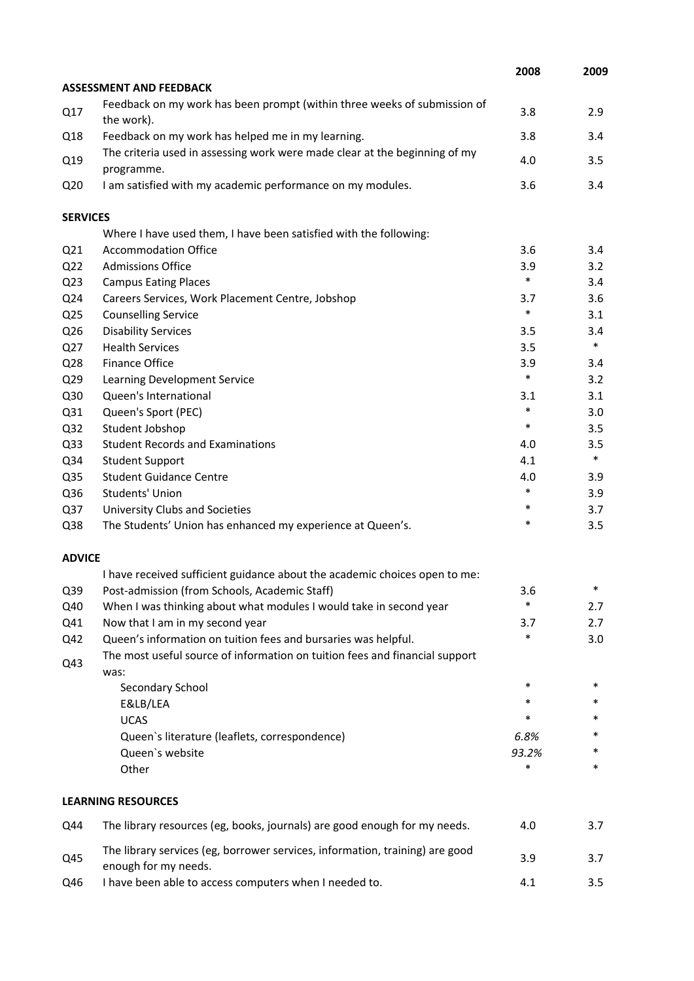|                 |                                                                                                      | 2008   | 2009   |
|-----------------|------------------------------------------------------------------------------------------------------|--------|--------|
|                 | <b>ASSESSMENT AND FEEDBACK</b>                                                                       |        |        |
| Q17             | Feedback on my work has been prompt (within three weeks of submission of<br>the work).               | 3.8    | 2.9    |
| Q18             | Feedback on my work has helped me in my learning.                                                    | 3.8    | 3.4    |
| Q19             | The criteria used in assessing work were made clear at the beginning of my<br>programme.             | 4.0    | 3.5    |
| Q <sub>20</sub> | I am satisfied with my academic performance on my modules.                                           | 3.6    | 3.4    |
| <b>SERVICES</b> |                                                                                                      |        |        |
|                 | Where I have used them, I have been satisfied with the following:                                    |        |        |
| Q <sub>21</sub> | <b>Accommodation Office</b>                                                                          | 3.6    | 3.4    |
| Q <sub>22</sub> | <b>Admissions Office</b>                                                                             | 3.9    | 3.2    |
| Q <sub>23</sub> | <b>Campus Eating Places</b>                                                                          | $\ast$ | 3.4    |
| Q24             | Careers Services, Work Placement Centre, Jobshop                                                     | 3.7    | 3.6    |
| Q <sub>25</sub> | <b>Counselling Service</b>                                                                           | $\ast$ | 3.1    |
| Q26             | <b>Disability Services</b>                                                                           | 3.5    | 3.4    |
| Q27             | <b>Health Services</b>                                                                               | 3.5    | $\ast$ |
| Q28             | <b>Finance Office</b>                                                                                | 3.9    | 3.4    |
| Q <sub>29</sub> | Learning Development Service                                                                         | $\ast$ | 3.2    |
| Q30             | Queen's International                                                                                | 3.1    | 3.1    |
| Q31             | Queen's Sport (PEC)                                                                                  | *      | 3.0    |
| Q <sub>32</sub> | Student Jobshop                                                                                      | $\ast$ | 3.5    |
| Q <sub>33</sub> | <b>Student Records and Examinations</b>                                                              | 4.0    | 3.5    |
| Q34             | <b>Student Support</b>                                                                               | 4.1    | $\ast$ |
| Q <sub>35</sub> | <b>Student Guidance Centre</b>                                                                       | 4.0    | 3.9    |
| Q36             | Students' Union                                                                                      | $\ast$ | 3.9    |
| Q <sub>37</sub> | University Clubs and Societies                                                                       | $\ast$ | 3.7    |
| Q38             | The Students' Union has enhanced my experience at Queen's.                                           | *      | 3.5    |
| <b>ADVICE</b>   |                                                                                                      |        |        |
|                 | I have received sufficient guidance about the academic choices open to me:                           |        |        |
| Q39             | Post-admission (from Schools, Academic Staff)                                                        | 3.6    |        |
| Q40             | When I was thinking about what modules I would take in second year                                   | *      | 2.7    |
| Q41             | Now that I am in my second year                                                                      | 3.7    | 2.7    |
| Q42             | Queen's information on tuition fees and bursaries was helpful.                                       | *      | 3.0    |
| Q43             | The most useful source of information on tuition fees and financial support<br>was:                  |        |        |
|                 | Secondary School                                                                                     | $\ast$ | $\ast$ |
|                 | E&LB/LEA                                                                                             | *      | *      |
|                 | <b>UCAS</b>                                                                                          | *      | *      |
|                 | Queen's literature (leaflets, correspondence)                                                        | 6.8%   | *      |
|                 | Queen's website                                                                                      | 93.2%  | *      |
|                 | Other                                                                                                | *      | *      |
|                 | <b>LEARNING RESOURCES</b>                                                                            |        |        |
| Q44             | The library resources (eg, books, journals) are good enough for my needs.                            | 4.0    | 3.7    |
| Q45             | The library services (eg, borrower services, information, training) are good<br>enough for my needs. | 3.9    | 3.7    |
| Q46             | I have been able to access computers when I needed to.                                               | 4.1    | 3.5    |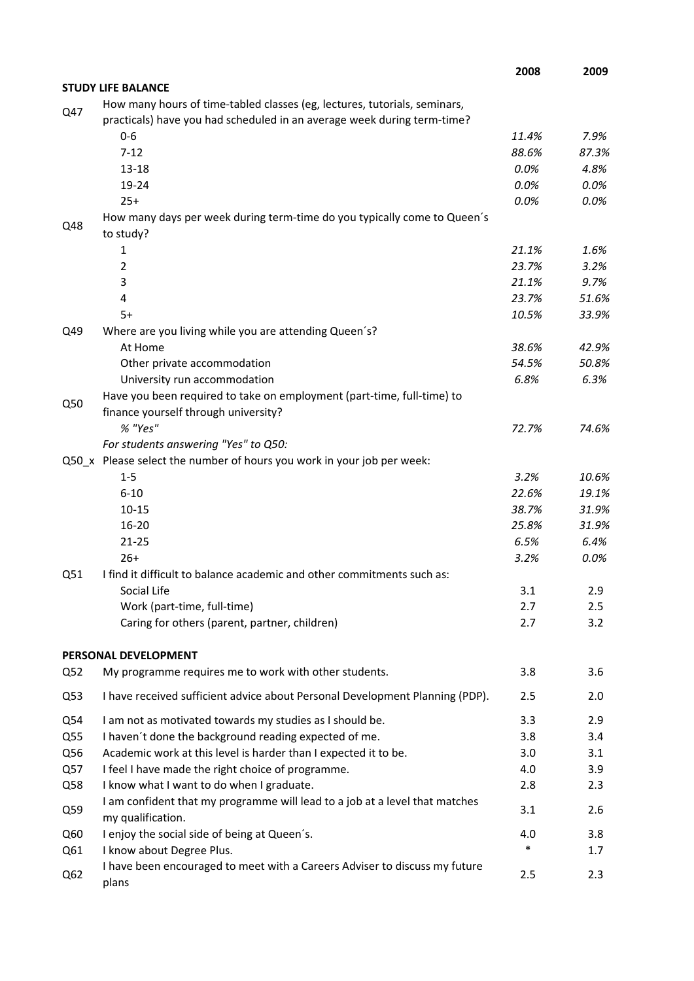|                 |                                                                                                                                                      | 2008          | 2009           |
|-----------------|------------------------------------------------------------------------------------------------------------------------------------------------------|---------------|----------------|
|                 | <b>STUDY LIFE BALANCE</b>                                                                                                                            |               |                |
| Q47             | How many hours of time-tabled classes (eg, lectures, tutorials, seminars,<br>practicals) have you had scheduled in an average week during term-time? |               |                |
|                 | $0 - 6$                                                                                                                                              | 11.4%         | 7.9%           |
|                 | $7 - 12$                                                                                                                                             | 88.6%         | 87.3%          |
|                 | $13 - 18$                                                                                                                                            | 0.0%          | 4.8%           |
|                 | 19-24                                                                                                                                                | 0.0%          | 0.0%           |
|                 | $25+$                                                                                                                                                | 0.0%          | 0.0%           |
| Q48             | How many days per week during term-time do you typically come to Queen's<br>to study?                                                                |               |                |
|                 | 1                                                                                                                                                    | 21.1%         | 1.6%           |
|                 | $\overline{2}$                                                                                                                                       | 23.7%         | 3.2%           |
|                 | 3                                                                                                                                                    | 21.1%         | 9.7%           |
|                 | 4                                                                                                                                                    | 23.7%         | 51.6%          |
|                 | $5+$                                                                                                                                                 | 10.5%         | 33.9%          |
| Q49             | Where are you living while you are attending Queen's?                                                                                                |               |                |
|                 | At Home                                                                                                                                              | 38.6%         | 42.9%          |
|                 | Other private accommodation                                                                                                                          | 54.5%         | 50.8%          |
|                 | University run accommodation                                                                                                                         | 6.8%          | 6.3%           |
| Q50             | Have you been required to take on employment (part-time, full-time) to                                                                               |               |                |
|                 | finance yourself through university?                                                                                                                 |               |                |
|                 | % "Yes"                                                                                                                                              | 72.7%         | 74.6%          |
|                 | For students answering "Yes" to Q50:                                                                                                                 |               |                |
|                 | Q50_x Please select the number of hours you work in your job per week:                                                                               |               |                |
|                 | $1 - 5$<br>$6 - 10$                                                                                                                                  | 3.2%<br>22.6% | 10.6%<br>19.1% |
|                 | $10 - 15$                                                                                                                                            | 38.7%         | 31.9%          |
|                 | 16-20                                                                                                                                                | 25.8%         | 31.9%          |
|                 | $21 - 25$                                                                                                                                            | 6.5%          | 6.4%           |
|                 | $26+$                                                                                                                                                | 3.2%          | 0.0%           |
| Q51             | I find it difficult to balance academic and other commitments such as:                                                                               |               |                |
|                 | Social Life                                                                                                                                          | 3.1           | 2.9            |
|                 | Work (part-time, full-time)                                                                                                                          | 2.7           | 2.5            |
|                 | Caring for others (parent, partner, children)                                                                                                        | 2.7           | 3.2            |
|                 | PERSONAL DEVELOPMENT                                                                                                                                 |               |                |
| Q52             | My programme requires me to work with other students.                                                                                                | 3.8           | 3.6            |
| Q53             | I have received sufficient advice about Personal Development Planning (PDP).                                                                         | 2.5           | 2.0            |
|                 |                                                                                                                                                      |               |                |
| Q54             | I am not as motivated towards my studies as I should be.                                                                                             | 3.3           | 2.9            |
| Q55             | I haven't done the background reading expected of me.                                                                                                | 3.8           | 3.4            |
| Q56<br>Q57      | Academic work at this level is harder than I expected it to be.<br>I feel I have made the right choice of programme.                                 | 3.0<br>4.0    | 3.1<br>3.9     |
| Q58             | I know what I want to do when I graduate.                                                                                                            | 2.8           | 2.3            |
|                 | I am confident that my programme will lead to a job at a level that matches                                                                          |               |                |
| Q59             | my qualification.                                                                                                                                    | 3.1           | 2.6            |
| Q60             | I enjoy the social side of being at Queen's.                                                                                                         | 4.0           | 3.8            |
| Q61             | I know about Degree Plus.                                                                                                                            | $\ast$        | 1.7            |
| Q <sub>62</sub> | I have been encouraged to meet with a Careers Adviser to discuss my future<br>plans                                                                  | 2.5           | 2.3            |